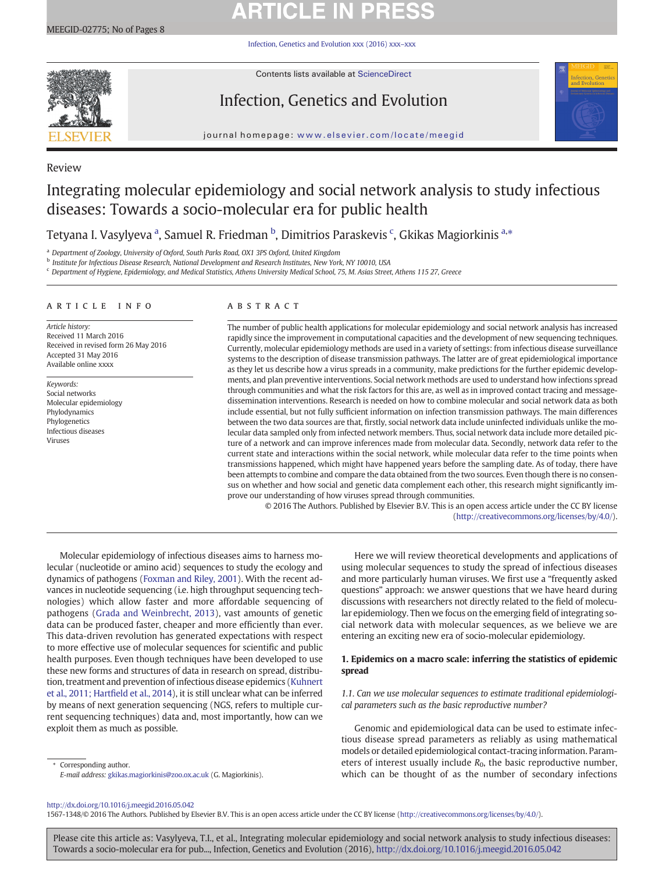# **ARTICLE IN PRESS**

[Infection, Genetics and Evolution xxx \(2016\) xxx](http://dx.doi.org/10.1016/j.meegid.2016.05.042)–xxx



Contents lists available at [ScienceDirect](http://www.sciencedirect.com/science/journal/)

## Infection, Genetics and Evolution



journal homepage: <www.elsevier.com/locate/meegid>

### Review

## Integrating molecular epidemiology and social network analysis to study infectious diseases: Towards a socio-molecular era for public health

Tetyana I. Vasylyeva <sup>a</sup>, Samuel R. Friedman <sup>b</sup>, Dimitrios Paraskevis <sup>c</sup>, Gkikas Magiorkinis <sup>a,</sup>\*

<sup>a</sup> Department of Zoology, University of Oxford, South Parks Road, OX1 3PS Oxford, United Kingdom

<sup>b</sup> Institute for Infectious Disease Research, National Development and Research Institutes, New York, NY 10010, USA

<sup>c</sup> Department of Hygiene, Epidemiology, and Medical Statistics, Athens University Medical School, 75, M. Asias Street, Athens 115 27, Greece

#### article info abstract

Article history: Received 11 March 2016 Received in revised form 26 May 2016 Accepted 31 May 2016 Available online xxxx

Keywords: Social networks Molecular epidemiology Phylodynamics Phylogenetics Infectious diseases Viruses

The number of public health applications for molecular epidemiology and social network analysis has increased rapidly since the improvement in computational capacities and the development of new sequencing techniques. Currently, molecular epidemiology methods are used in a variety of settings: from infectious disease surveillance systems to the description of disease transmission pathways. The latter are of great epidemiological importance as they let us describe how a virus spreads in a community, make predictions for the further epidemic developments, and plan preventive interventions. Social network methods are used to understand how infections spread through communities and what the risk factors for this are, as well as in improved contact tracing and messagedissemination interventions. Research is needed on how to combine molecular and social network data as both include essential, but not fully sufficient information on infection transmission pathways. The main differences between the two data sources are that, firstly, social network data include uninfected individuals unlike the molecular data sampled only from infected network members. Thus, social network data include more detailed picture of a network and can improve inferences made from molecular data. Secondly, network data refer to the current state and interactions within the social network, while molecular data refer to the time points when transmissions happened, which might have happened years before the sampling date. As of today, there have been attempts to combine and compare the data obtained from the two sources. Even though there is no consensus on whether and how social and genetic data complement each other, this research might significantly improve our understanding of how viruses spread through communities.

© 2016 The Authors. Published by Elsevier B.V. This is an open access article under the CC BY license [\(http://creativecommons.org/licenses/by/4.0/\)](http://creativecommons.org/licenses/by/4.0/).

Molecular epidemiology of infectious diseases aims to harness molecular (nucleotide or amino acid) sequences to study the ecology and dynamics of pathogens [\(Foxman and Riley, 2001\)](#page-6-0). With the recent advances in nucleotide sequencing (i.e. high throughput sequencing technologies) which allow faster and more affordable sequencing of pathogens [\(Grada and Weinbrecht, 2013](#page-6-0)), vast amounts of genetic data can be produced faster, cheaper and more efficiently than ever. This data-driven revolution has generated expectations with respect to more effective use of molecular sequences for scientific and public health purposes. Even though techniques have been developed to use these new forms and structures of data in research on spread, distribution, treatment and prevention of infectious disease epidemics [\(Kuhnert](#page-6-0) [et al., 2011; Hart](#page-6-0)field et al., 2014), it is still unclear what can be inferred by means of next generation sequencing (NGS, refers to multiple current sequencing techniques) data and, most importantly, how can we exploit them as much as possible.

Corresponding author. E-mail address: [gkikas.magiorkinis@zoo.ox.ac.uk](mailto:gkikas.magiorkinis@zoo.ox.ac.uk) (G. Magiorkinis).

Here we will review theoretical developments and applications of using molecular sequences to study the spread of infectious diseases and more particularly human viruses. We first use a "frequently asked questions" approach: we answer questions that we have heard during discussions with researchers not directly related to the field of molecular epidemiology. Then we focus on the emerging field of integrating social network data with molecular sequences, as we believe we are entering an exciting new era of socio-molecular epidemiology.

### 1. Epidemics on a macro scale: inferring the statistics of epidemic spread

1.1. Can we use molecular sequences to estimate traditional epidemiological parameters such as the basic reproductive number?

Genomic and epidemiological data can be used to estimate infectious disease spread parameters as reliably as using mathematical models or detailed epidemiological contact-tracing information. Parameters of interest usually include  $R_0$ , the basic reproductive number, which can be thought of as the number of secondary infections

#### <http://dx.doi.org/10.1016/j.meegid.2016.05.042>

1567-1348/© 2016 The Authors. Published by Elsevier B.V. This is an open access article under the CC BY license [\(http://creativecommons.org/licenses/by/4.0/](http://creativecommons.org/licenses/by/4.0/)).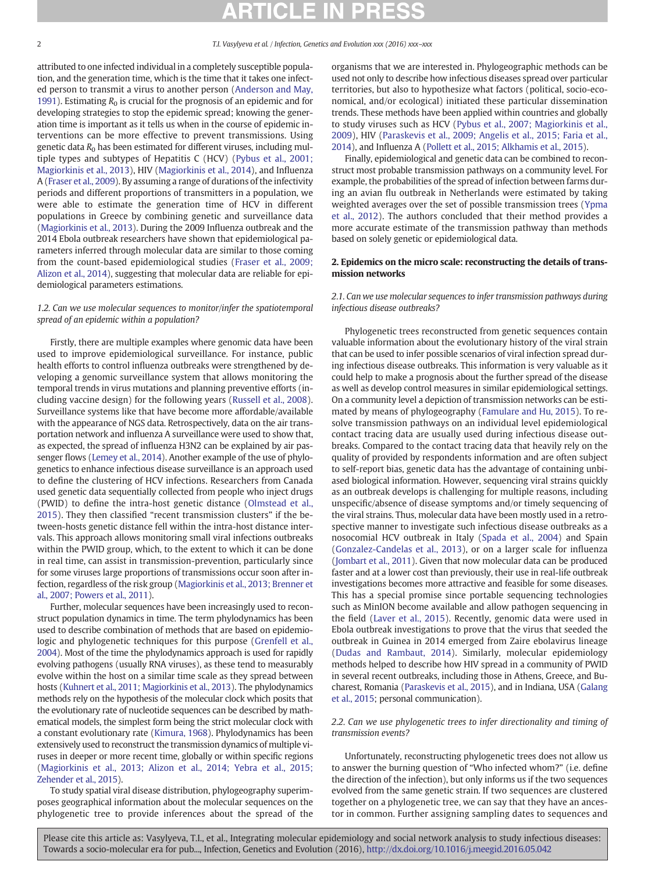attributed to one infected individual in a completely susceptible population, and the generation time, which is the time that it takes one infected person to transmit a virus to another person ([Anderson and May,](#page-6-0) [1991\)](#page-6-0). Estimating  $R_0$  is crucial for the prognosis of an epidemic and for developing strategies to stop the epidemic spread; knowing the generation time is important as it tells us when in the course of epidemic interventions can be more effective to prevent transmissions. Using genetic data  $R_0$  has been estimated for different viruses, including multiple types and subtypes of Hepatitis C (HCV) ([Pybus et al., 2001;](#page-7-0) [Magiorkinis et al., 2013\)](#page-7-0), HIV [\(Magiorkinis et al., 2014](#page-7-0)), and Influenza A ([Fraser et al., 2009](#page-6-0)). By assuming a range of durations of the infectivity periods and different proportions of transmitters in a population, we were able to estimate the generation time of HCV in different populations in Greece by combining genetic and surveillance data [\(Magiorkinis et al., 2013](#page-7-0)). During the 2009 Influenza outbreak and the 2014 Ebola outbreak researchers have shown that epidemiological parameters inferred through molecular data are similar to those coming from the count-based epidemiological studies ([Fraser et al., 2009;](#page-6-0) [Alizon et al., 2014](#page-6-0)), suggesting that molecular data are reliable for epidemiological parameters estimations.

### 1.2. Can we use molecular sequences to monitor/infer the spatiotemporal spread of an epidemic within a population?

Firstly, there are multiple examples where genomic data have been used to improve epidemiological surveillance. For instance, public health efforts to control influenza outbreaks were strengthened by developing a genomic surveillance system that allows monitoring the temporal trends in virus mutations and planning preventive efforts (including vaccine design) for the following years [\(Russell et al., 2008](#page-7-0)). Surveillance systems like that have become more affordable/available with the appearance of NGS data. Retrospectively, data on the air transportation network and influenza A surveillance were used to show that, as expected, the spread of influenza H3N2 can be explained by air passenger flows ([Lemey et al., 2014\)](#page-7-0). Another example of the use of phylogenetics to enhance infectious disease surveillance is an approach used to define the clustering of HCV infections. Researchers from Canada used genetic data sequentially collected from people who inject drugs (PWID) to define the intra-host genetic distance ([Olmstead et al.,](#page-7-0) [2015](#page-7-0)). They then classified "recent transmission clusters" if the between-hosts genetic distance fell within the intra-host distance intervals. This approach allows monitoring small viral infections outbreaks within the PWID group, which, to the extent to which it can be done in real time, can assist in transmission-prevention, particularly since for some viruses large proportions of transmissions occur soon after infection, regardless of the risk group [\(Magiorkinis et al., 2013; Brenner et](#page-7-0) [al., 2007; Powers et al., 2011\)](#page-7-0).

Further, molecular sequences have been increasingly used to reconstruct population dynamics in time. The term phylodynamics has been used to describe combination of methods that are based on epidemiologic and phylogenetic techniques for this purpose ([Grenfell et al.,](#page-6-0) [2004\)](#page-6-0). Most of the time the phylodynamics approach is used for rapidly evolving pathogens (usually RNA viruses), as these tend to measurably evolve within the host on a similar time scale as they spread between hosts [\(Kuhnert et al., 2011; Magiorkinis et al., 2013\)](#page-6-0). The phylodynamics methods rely on the hypothesis of the molecular clock which posits that the evolutionary rate of nucleotide sequences can be described by mathematical models, the simplest form being the strict molecular clock with a constant evolutionary rate [\(Kimura, 1968\)](#page-6-0). Phylodynamics has been extensively used to reconstruct the transmission dynamics of multiple viruses in deeper or more recent time, globally or within specific regions [\(Magiorkinis et al., 2013; Alizon et al., 2014; Yebra et al., 2015;](#page-7-0) [Zehender et al., 2015\)](#page-7-0).

To study spatial viral disease distribution, phylogeography superimposes geographical information about the molecular sequences on the phylogenetic tree to provide inferences about the spread of the organisms that we are interested in. Phylogeographic methods can be used not only to describe how infectious diseases spread over particular territories, but also to hypothesize what factors (political, socio-economical, and/or ecological) initiated these particular dissemination trends. These methods have been applied within countries and globally to study viruses such as HCV ([Pybus et al., 2007; Magiorkinis et al.,](#page-7-0) [2009](#page-7-0)), HIV [\(Paraskevis et al., 2009; Angelis et al., 2015; Faria et al.,](#page-7-0) [2014\)](#page-7-0), and Influenza A [\(Pollett et al., 2015; Alkhamis et al., 2015](#page-7-0)).

Finally, epidemiological and genetic data can be combined to reconstruct most probable transmission pathways on a community level. For example, the probabilities of the spread of infection between farms during an avian flu outbreak in Netherlands were estimated by taking weighted averages over the set of possible transmission trees ([Ypma](#page-7-0) [et al., 2012](#page-7-0)). The authors concluded that their method provides a more accurate estimate of the transmission pathway than methods based on solely genetic or epidemiological data.

### 2. Epidemics on the micro scale: reconstructing the details of transmission networks

### 2.1. Can we use molecular sequences to infer transmission pathways during infectious disease outbreaks?

Phylogenetic trees reconstructed from genetic sequences contain valuable information about the evolutionary history of the viral strain that can be used to infer possible scenarios of viral infection spread during infectious disease outbreaks. This information is very valuable as it could help to make a prognosis about the further spread of the disease as well as develop control measures in similar epidemiological settings. On a community level a depiction of transmission networks can be estimated by means of phylogeography ([Famulare and Hu, 2015](#page-6-0)). To resolve transmission pathways on an individual level epidemiological contact tracing data are usually used during infectious disease outbreaks. Compared to the contact tracing data that heavily rely on the quality of provided by respondents information and are often subject to self-report bias, genetic data has the advantage of containing unbiased biological information. However, sequencing viral strains quickly as an outbreak develops is challenging for multiple reasons, including unspecific/absence of disease symptoms and/or timely sequencing of the viral strains. Thus, molecular data have been mostly used in a retrospective manner to investigate such infectious disease outbreaks as a nosocomial HCV outbreak in Italy ([Spada et al., 2004\)](#page-7-0) and Spain [\(Gonzalez-Candelas et al., 2013](#page-6-0)), or on a larger scale for influenza [\(Jombart et al., 2011](#page-6-0)). Given that now molecular data can be produced faster and at a lower cost than previously, their use in real-life outbreak investigations becomes more attractive and feasible for some diseases. This has a special promise since portable sequencing technologies such as MinION become available and allow pathogen sequencing in the field ([Laver et al., 2015\)](#page-7-0). Recently, genomic data were used in Ebola outbreak investigations to prove that the virus that seeded the outbreak in Guinea in 2014 emerged from Zaire ebolavirus lineage [\(Dudas and Rambaut, 2014](#page-6-0)). Similarly, molecular epidemiology methods helped to describe how HIV spread in a community of PWID in several recent outbreaks, including those in Athens, Greece, and Bucharest, Romania [\(Paraskevis et al., 2015\)](#page-7-0), and in Indiana, USA [\(Galang](#page-6-0) [et al., 2015](#page-6-0); personal communication).

2.2. Can we use phylogenetic trees to infer directionality and timing of transmission events?

Unfortunately, reconstructing phylogenetic trees does not allow us to answer the burning question of "Who infected whom?" (i.e. define the direction of the infection), but only informs us if the two sequences evolved from the same genetic strain. If two sequences are clustered together on a phylogenetic tree, we can say that they have an ancestor in common. Further assigning sampling dates to sequences and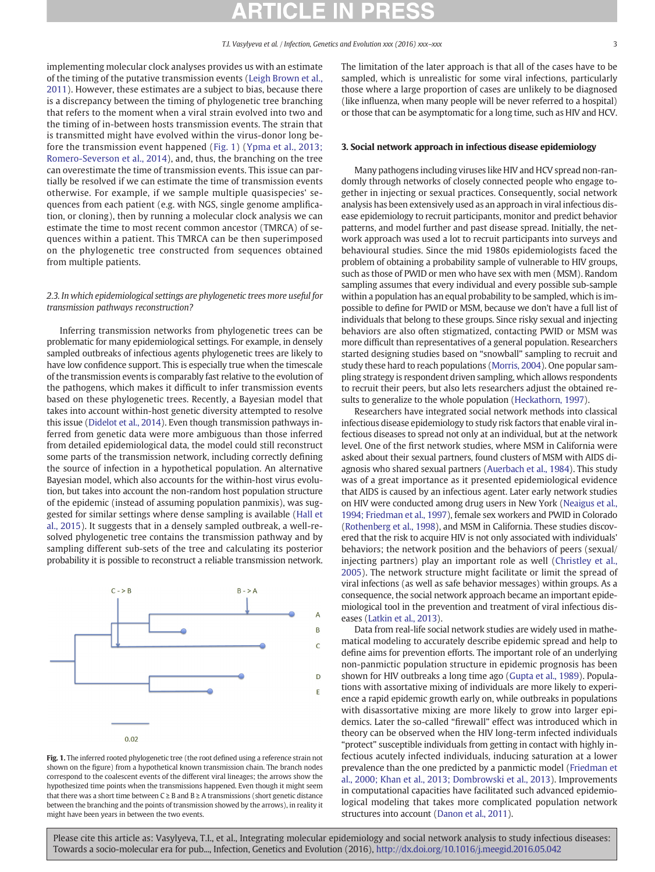implementing molecular clock analyses provides us with an estimate of the timing of the putative transmission events [\(Leigh Brown et al.,](#page-7-0) [2011](#page-7-0)). However, these estimates are a subject to bias, because there is a discrepancy between the timing of phylogenetic tree branching that refers to the moment when a viral strain evolved into two and the timing of in-between hosts transmission events. The strain that is transmitted might have evolved within the virus-donor long before the transmission event happened (Fig. 1) ([Ypma et al., 2013;](#page-7-0) [Romero-Severson et al., 2014\)](#page-7-0), and, thus, the branching on the tree can overestimate the time of transmission events. This issue can partially be resolved if we can estimate the time of transmission events otherwise. For example, if we sample multiple quasispecies' sequences from each patient (e.g. with NGS, single genome amplification, or cloning), then by running a molecular clock analysis we can estimate the time to most recent common ancestor (TMRCA) of sequences within a patient. This TMRCA can be then superimposed on the phylogenetic tree constructed from sequences obtained from multiple patients.

### 2.3. In which epidemiological settings are phylogenetic trees more useful for transmission pathways reconstruction?

Inferring transmission networks from phylogenetic trees can be problematic for many epidemiological settings. For example, in densely sampled outbreaks of infectious agents phylogenetic trees are likely to have low confidence support. This is especially true when the timescale of the transmission events is comparably fast relative to the evolution of the pathogens, which makes it difficult to infer transmission events based on these phylogenetic trees. Recently, a Bayesian model that takes into account within-host genetic diversity attempted to resolve this issue ([Didelot et al., 2014](#page-6-0)). Even though transmission pathways inferred from genetic data were more ambiguous than those inferred from detailed epidemiological data, the model could still reconstruct some parts of the transmission network, including correctly defining the source of infection in a hypothetical population. An alternative Bayesian model, which also accounts for the within-host virus evolution, but takes into account the non-random host population structure of the epidemic (instead of assuming population panmixis), was suggested for similar settings where dense sampling is available ([Hall et](#page-6-0) [al., 2015\)](#page-6-0). It suggests that in a densely sampled outbreak, a well-resolved phylogenetic tree contains the transmission pathway and by sampling different sub-sets of the tree and calculating its posterior probability it is possible to reconstruct a reliable transmission network.



Fig. 1. The inferred rooted phylogenetic tree (the root defined using a reference strain not shown on the figure) from a hypothetical known transmission chain. The branch nodes correspond to the coalescent events of the different viral lineages; the arrows show the hypothesized time points when the transmissions happened. Even though it might seem that there was a short time between  $C \geq B$  and  $B \geq A$  transmissions (short genetic distance between the branching and the points of transmission showed by the arrows), in reality it might have been years in between the two events.

The limitation of the later approach is that all of the cases have to be sampled, which is unrealistic for some viral infections, particularly those where a large proportion of cases are unlikely to be diagnosed (like influenza, when many people will be never referred to a hospital) or those that can be asymptomatic for a long time, such as HIV and HCV.

#### 3. Social network approach in infectious disease epidemiology

Many pathogens including viruses like HIV and HCV spread non-randomly through networks of closely connected people who engage together in injecting or sexual practices. Consequently, social network analysis has been extensively used as an approach in viral infectious disease epidemiology to recruit participants, monitor and predict behavior patterns, and model further and past disease spread. Initially, the network approach was used a lot to recruit participants into surveys and behavioural studies. Since the mid 1980s epidemiologists faced the problem of obtaining a probability sample of vulnerable to HIV groups, such as those of PWID or men who have sex with men (MSM). Random sampling assumes that every individual and every possible sub-sample within a population has an equal probability to be sampled, which is impossible to define for PWID or MSM, because we don't have a full list of individuals that belong to these groups. Since risky sexual and injecting behaviors are also often stigmatized, contacting PWID or MSM was more difficult than representatives of a general population. Researchers started designing studies based on "snowball" sampling to recruit and study these hard to reach populations [\(Morris, 2004\)](#page-7-0). One popular sampling strategy is respondent driven sampling, which allows respondents to recruit their peers, but also lets researchers adjust the obtained results to generalize to the whole population [\(Heckathorn, 1997](#page-6-0)).

Researchers have integrated social network methods into classical infectious disease epidemiology to study risk factors that enable viral infectious diseases to spread not only at an individual, but at the network level. One of the first network studies, where MSM in California were asked about their sexual partners, found clusters of MSM with AIDS diagnosis who shared sexual partners [\(Auerbach et al., 1984\)](#page-6-0). This study was of a great importance as it presented epidemiological evidence that AIDS is caused by an infectious agent. Later early network studies on HIV were conducted among drug users in New York [\(Neaigus et al.,](#page-7-0) [1994; Friedman et al., 1997](#page-7-0)), female sex workers and PWID in Colorado [\(Rothenberg et al., 1998\)](#page-7-0), and MSM in California. These studies discovered that the risk to acquire HIV is not only associated with individuals' behaviors; the network position and the behaviors of peers (sexual/ injecting partners) play an important role as well [\(Christley et al.,](#page-6-0) [2005\)](#page-6-0). The network structure might facilitate or limit the spread of viral infections (as well as safe behavior messages) within groups. As a consequence, the social network approach became an important epidemiological tool in the prevention and treatment of viral infectious diseases ([Latkin et al., 2013](#page-6-0)).

Data from real-life social network studies are widely used in mathematical modeling to accurately describe epidemic spread and help to define aims for prevention efforts. The important role of an underlying non-panmictic population structure in epidemic prognosis has been shown for HIV outbreaks a long time ago [\(Gupta et al., 1989](#page-6-0)). Populations with assortative mixing of individuals are more likely to experience a rapid epidemic growth early on, while outbreaks in populations with disassortative mixing are more likely to grow into larger epidemics. Later the so-called "firewall" effect was introduced which in theory can be observed when the HIV long-term infected individuals "protect" susceptible individuals from getting in contact with highly infectious acutely infected individuals, inducing saturation at a lower prevalence than the one predicted by a panmictic model [\(Friedman et](#page-6-0) [al., 2000; Khan et al., 2013; Dombrowski et al., 2013\)](#page-6-0). Improvements in computational capacities have facilitated such advanced epidemiological modeling that takes more complicated population network structures into account ([Danon et al., 2011\)](#page-6-0).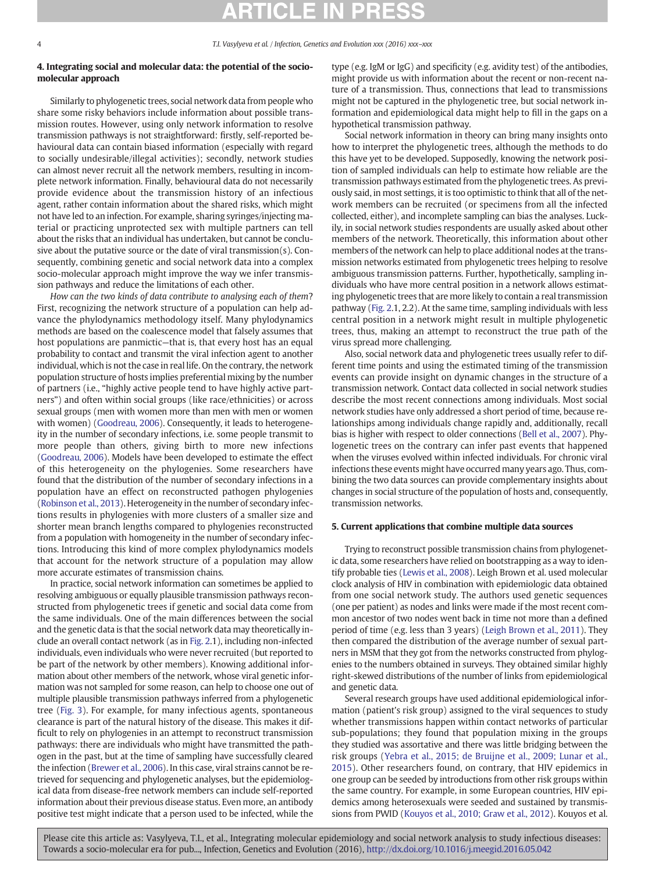### 4. Integrating social and molecular data: the potential of the sociomolecular approach

Similarly to phylogenetic trees, social network data from people who share some risky behaviors include information about possible transmission routes. However, using only network information to resolve transmission pathways is not straightforward: firstly, self-reported behavioural data can contain biased information (especially with regard to socially undesirable/illegal activities); secondly, network studies can almost never recruit all the network members, resulting in incomplete network information. Finally, behavioural data do not necessarily provide evidence about the transmission history of an infectious agent, rather contain information about the shared risks, which might not have led to an infection. For example, sharing syringes/injecting material or practicing unprotected sex with multiple partners can tell about the risks that an individual has undertaken, but cannot be conclusive about the putative source or the date of viral transmission(s). Consequently, combining genetic and social network data into a complex socio-molecular approach might improve the way we infer transmission pathways and reduce the limitations of each other.

How can the two kinds of data contribute to analysing each of them? First, recognizing the network structure of a population can help advance the phylodynamics methodology itself. Many phylodynamics methods are based on the coalescence model that falsely assumes that host populations are panmictic—that is, that every host has an equal probability to contact and transmit the viral infection agent to another individual, which is not the case in real life. On the contrary, the network population structure of hosts implies preferential mixing by the number of partners (i.e., "highly active people tend to have highly active partners") and often within social groups (like race/ethnicities) or across sexual groups (men with women more than men with men or women with women) [\(Goodreau, 2006\)](#page-6-0). Consequently, it leads to heterogeneity in the number of secondary infections, i.e. some people transmit to more people than others, giving birth to more new infections [\(Goodreau, 2006](#page-6-0)). Models have been developed to estimate the effect of this heterogeneity on the phylogenies. Some researchers have found that the distribution of the number of secondary infections in a population have an effect on reconstructed pathogen phylogenies [\(Robinson et al., 2013\)](#page-7-0). Heterogeneity in the number of secondary infections results in phylogenies with more clusters of a smaller size and shorter mean branch lengths compared to phylogenies reconstructed from a population with homogeneity in the number of secondary infections. Introducing this kind of more complex phylodynamics models that account for the network structure of a population may allow more accurate estimates of transmission chains.

In practice, social network information can sometimes be applied to resolving ambiguous or equally plausible transmission pathways reconstructed from phylogenetic trees if genetic and social data come from the same individuals. One of the main differences between the social and the genetic data is that the social network data may theoretically include an overall contact network (as in [Fig. 2](#page-4-0).1), including non-infected individuals, even individuals who were never recruited (but reported to be part of the network by other members). Knowing additional information about other members of the network, whose viral genetic information was not sampled for some reason, can help to choose one out of multiple plausible transmission pathways inferred from a phylogenetic tree ([Fig. 3\)](#page-5-0). For example, for many infectious agents, spontaneous clearance is part of the natural history of the disease. This makes it difficult to rely on phylogenies in an attempt to reconstruct transmission pathways: there are individuals who might have transmitted the pathogen in the past, but at the time of sampling have successfully cleared the infection [\(Brewer et al., 2006\)](#page-6-0). In this case, viral strains cannot be retrieved for sequencing and phylogenetic analyses, but the epidemiological data from disease-free network members can include self-reported information about their previous disease status. Even more, an antibody positive test might indicate that a person used to be infected, while the

type (e.g. IgM or IgG) and specificity (e.g. avidity test) of the antibodies, might provide us with information about the recent or non-recent nature of a transmission. Thus, connections that lead to transmissions might not be captured in the phylogenetic tree, but social network information and epidemiological data might help to fill in the gaps on a hypothetical transmission pathway.

Social network information in theory can bring many insights onto how to interpret the phylogenetic trees, although the methods to do this have yet to be developed. Supposedly, knowing the network position of sampled individuals can help to estimate how reliable are the transmission pathways estimated from the phylogenetic trees. As previously said, in most settings, it is too optimistic to think that all of the network members can be recruited (or specimens from all the infected collected, either), and incomplete sampling can bias the analyses. Luckily, in social network studies respondents are usually asked about other members of the network. Theoretically, this information about other members of the network can help to place additional nodes at the transmission networks estimated from phylogenetic trees helping to resolve ambiguous transmission patterns. Further, hypothetically, sampling individuals who have more central position in a network allows estimating phylogenetic trees that are more likely to contain a real transmission pathway ([Fig. 2](#page-4-0).1, 2.2). At the same time, sampling individuals with less central position in a network might result in multiple phylogenetic trees, thus, making an attempt to reconstruct the true path of the virus spread more challenging.

Also, social network data and phylogenetic trees usually refer to different time points and using the estimated timing of the transmission events can provide insight on dynamic changes in the structure of a transmission network. Contact data collected in social network studies describe the most recent connections among individuals. Most social network studies have only addressed a short period of time, because relationships among individuals change rapidly and, additionally, recall bias is higher with respect to older connections [\(Bell et al., 2007](#page-6-0)). Phylogenetic trees on the contrary can infer past events that happened when the viruses evolved within infected individuals. For chronic viral infections these events might have occurred many years ago. Thus, combining the two data sources can provide complementary insights about changes in social structure of the population of hosts and, consequently, transmission networks.

### 5. Current applications that combine multiple data sources

Trying to reconstruct possible transmission chains from phylogenetic data, some researchers have relied on bootstrapping as a way to identify probable ties [\(Lewis et al., 2008\)](#page-7-0). Leigh Brown et al. used molecular clock analysis of HIV in combination with epidemiologic data obtained from one social network study. The authors used genetic sequences (one per patient) as nodes and links were made if the most recent common ancestor of two nodes went back in time not more than a defined period of time (e.g. less than 3 years) [\(Leigh Brown et al., 2011\)](#page-7-0). They then compared the distribution of the average number of sexual partners in MSM that they got from the networks constructed from phylogenies to the numbers obtained in surveys. They obtained similar highly right-skewed distributions of the number of links from epidemiological and genetic data.

Several research groups have used additional epidemiological information (patient's risk group) assigned to the viral sequences to study whether transmissions happen within contact networks of particular sub-populations; they found that population mixing in the groups they studied was assortative and there was little bridging between the risk groups ([Yebra et al., 2015; de Bruijne et al., 2009; Lunar et al.,](#page-7-0) [2015](#page-7-0)). Other researchers found, on contrary, that HIV epidemics in one group can be seeded by introductions from other risk groups within the same country. For example, in some European countries, HIV epidemics among heterosexuals were seeded and sustained by transmissions from PWID ([Kouyos et al., 2010; Graw et al., 2012](#page-6-0)). Kouyos et al.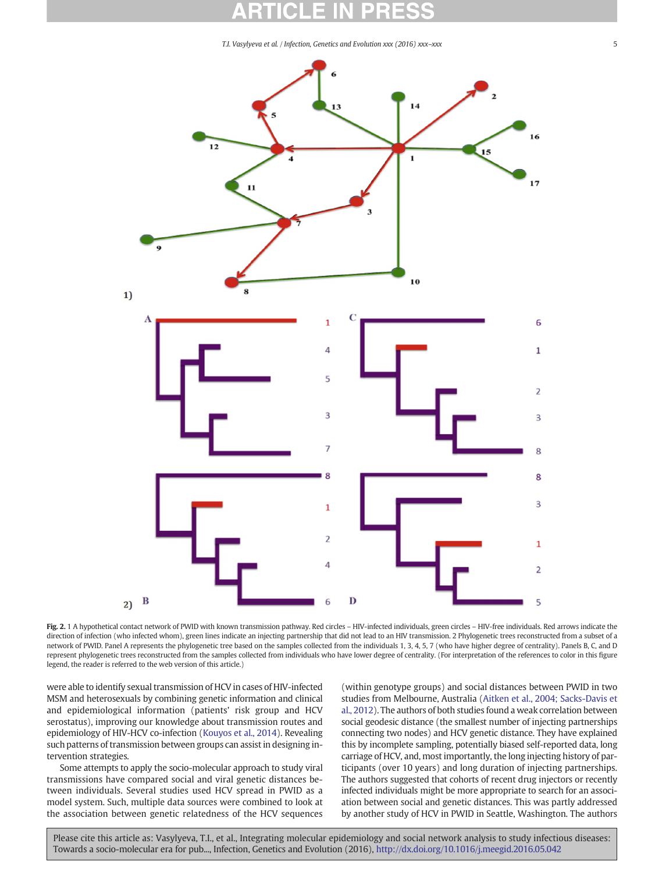<span id="page-4-0"></span>

Fig. 2. 1 A hypothetical contact network of PWID with known transmission pathway. Red circles - HIV-infected individuals, green circles - HIV-free individuals. Red arrows indicate the direction of infection (who infected whom), green lines indicate an injecting partnership that did not lead to an HIV transmission. 2 Phylogenetic trees reconstructed from a subset of a network of PWID. Panel A represents the phylogenetic tree based on the samples collected from the individuals 1, 3, 4, 5, 7 (who have higher degree of centrality). Panels B, C, and D represent phylogenetic trees reconstructed from the samples collected from individuals who have lower degree of centrality. (For interpretation of the references to color in this figure legend, the reader is referred to the web version of this article.)

were able to identify sexual transmission of HCV in cases of HIV-infected MSM and heterosexuals by combining genetic information and clinical and epidemiological information (patients' risk group and HCV serostatus), improving our knowledge about transmission routes and epidemiology of HIV-HCV co-infection ([Kouyos et al., 2014\)](#page-6-0). Revealing such patterns of transmission between groups can assist in designing intervention strategies.

Some attempts to apply the socio-molecular approach to study viral transmissions have compared social and viral genetic distances between individuals. Several studies used HCV spread in PWID as a model system. Such, multiple data sources were combined to look at the association between genetic relatedness of the HCV sequences (within genotype groups) and social distances between PWID in two studies from Melbourne, Australia [\(Aitken et al., 2004; Sacks-Davis et](#page-6-0) [al., 2012](#page-6-0)). The authors of both studies found a weak correlation between social geodesic distance (the smallest number of injecting partnerships connecting two nodes) and HCV genetic distance. They have explained this by incomplete sampling, potentially biased self-reported data, long carriage of HCV, and, most importantly, the long injecting history of participants (over 10 years) and long duration of injecting partnerships. The authors suggested that cohorts of recent drug injectors or recently infected individuals might be more appropriate to search for an association between social and genetic distances. This was partly addressed by another study of HCV in PWID in Seattle, Washington. The authors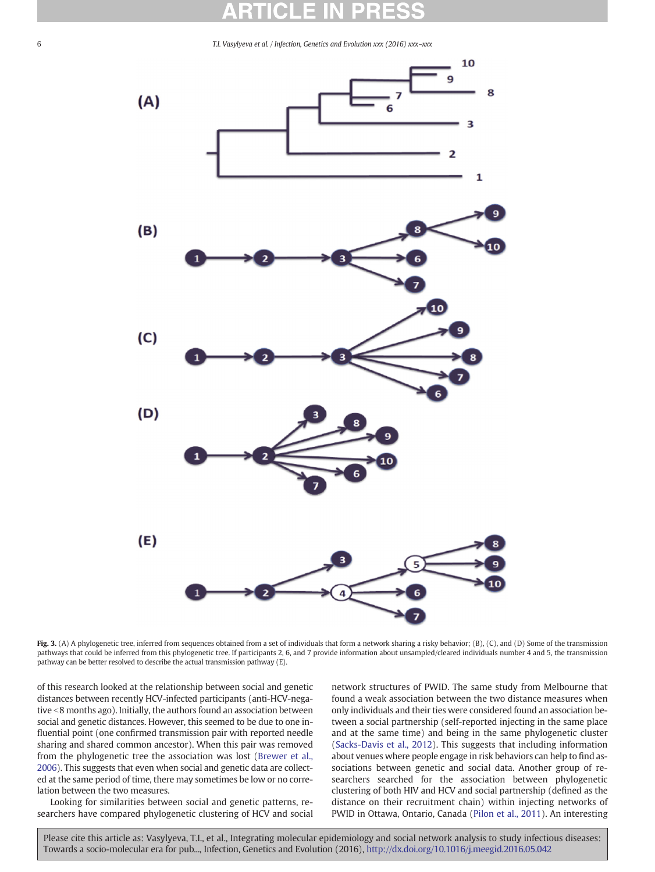<span id="page-5-0"></span>

Fig. 3. (A) A phylogenetic tree, inferred from sequences obtained from a set of individuals that form a network sharing a risky behavior; (B), (C), and (D) Some of the transmission pathways that could be inferred from this phylogenetic tree. If participants 2, 6, and 7 provide information about unsampled/cleared individuals number 4 and 5, the transmission pathway can be better resolved to describe the actual transmission pathway (E).

of this research looked at the relationship between social and genetic distances between recently HCV-infected participants (anti-HCV-negative <8 months ago). Initially, the authors found an association between social and genetic distances. However, this seemed to be due to one influential point (one confirmed transmission pair with reported needle sharing and shared common ancestor). When this pair was removed from the phylogenetic tree the association was lost ([Brewer et al.,](#page-6-0) [2006\)](#page-6-0). This suggests that even when social and genetic data are collected at the same period of time, there may sometimes be low or no correlation between the two measures.

Looking for similarities between social and genetic patterns, researchers have compared phylogenetic clustering of HCV and social network structures of PWID. The same study from Melbourne that found a weak association between the two distance measures when only individuals and their ties were considered found an association between a social partnership (self-reported injecting in the same place and at the same time) and being in the same phylogenetic cluster [\(Sacks-Davis et al., 2012](#page-7-0)). This suggests that including information about venues where people engage in risk behaviors can help to find associations between genetic and social data. Another group of researchers searched for the association between phylogenetic clustering of both HIV and HCV and social partnership (defined as the distance on their recruitment chain) within injecting networks of PWID in Ottawa, Ontario, Canada ([Pilon et al., 2011](#page-7-0)). An interesting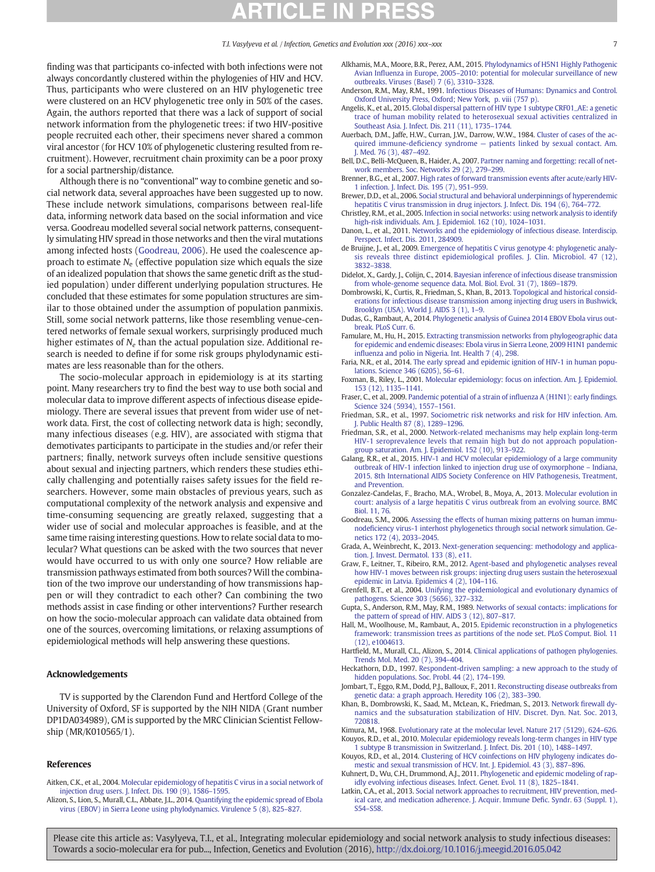<span id="page-6-0"></span>finding was that participants co-infected with both infections were not always concordantly clustered within the phylogenies of HIV and HCV. Thus, participants who were clustered on an HIV phylogenetic tree were clustered on an HCV phylogenetic tree only in 50% of the cases. Again, the authors reported that there was a lack of support of social network information from the phylogenetic trees: if two HIV-positive people recruited each other, their specimens never shared a common viral ancestor (for HCV 10% of phylogenetic clustering resulted from recruitment). However, recruitment chain proximity can be a poor proxy for a social partnership/distance.

Although there is no "conventional" way to combine genetic and social network data, several approaches have been suggested up to now. These include network simulations, comparisons between real-life data, informing network data based on the social information and vice versa. Goodreau modelled several social network patterns, consequently simulating HIV spread in those networks and then the viral mutations among infected hosts (Goodreau, 2006). He used the coalescence approach to estimate  $N_e$  (effective population size which equals the size of an idealized population that shows the same genetic drift as the studied population) under different underlying population structures. He concluded that these estimates for some population structures are similar to those obtained under the assumption of population panmixis. Still, some social network patterns, like those resembling venue-centered networks of female sexual workers, surprisingly produced much higher estimates of  $N_e$  than the actual population size. Additional research is needed to define if for some risk groups phylodynamic estimates are less reasonable than for the others.

The socio-molecular approach in epidemiology is at its starting point. Many researchers try to find the best way to use both social and molecular data to improve different aspects of infectious disease epidemiology. There are several issues that prevent from wider use of network data. First, the cost of collecting network data is high; secondly, many infectious diseases (e.g. HIV), are associated with stigma that demotivates participants to participate in the studies and/or refer their partners; finally, network surveys often include sensitive questions about sexual and injecting partners, which renders these studies ethically challenging and potentially raises safety issues for the field researchers. However, some main obstacles of previous years, such as computational complexity of the network analysis and expensive and time-consuming sequencing are greatly relaxed, suggesting that a wider use of social and molecular approaches is feasible, and at the same time raising interesting questions. How to relate social data to molecular? What questions can be asked with the two sources that never would have occurred to us with only one source? How reliable are transmission pathways estimated from both sources?Will the combination of the two improve our understanding of how transmissions happen or will they contradict to each other? Can combining the two methods assist in case finding or other interventions? Further research on how the socio-molecular approach can validate data obtained from one of the sources, overcoming limitations, or relaxing assumptions of epidemiological methods will help answering these questions.

#### Acknowledgements

TV is supported by the Clarendon Fund and Hertford College of the University of Oxford, SF is supported by the NIH NIDA (Grant number DP1DA034989), GM is supported by the MRC Clinician Scientist Fellowship (MR/K010565/1).

#### References

- Aitken, C.K., et al., 2004. [Molecular epidemiology of hepatitis C virus in a social network of](http://refhub.elsevier.com/S1567-1348(16)30224-6/rf0005) [injection drug users. J. Infect. Dis. 190 \(9\), 1586](http://refhub.elsevier.com/S1567-1348(16)30224-6/rf0005)–1595.
- Alizon, S., Lion, S., Murall, C.L., Abbate, J.L., 2014. [Quantifying the epidemic spread of Ebola](http://refhub.elsevier.com/S1567-1348(16)30224-6/rf0015) [virus \(EBOV\) in Sierra Leone using phylodynamics. Virulence 5 \(8\), 825](http://refhub.elsevier.com/S1567-1348(16)30224-6/rf0015)–827.
- Alkhamis, M.A., Moore, B.R., Perez, A.M., 2015. [Phylodynamics of H5N1 Highly Pathogenic](http://refhub.elsevier.com/S1567-1348(16)30224-6/rf0020) Avian Influenza in Europe, 2005–[2010: potential for molecular surveillance of new](http://refhub.elsevier.com/S1567-1348(16)30224-6/rf0020) [outbreaks. Viruses \(Basel\) 7 \(6\), 3310](http://refhub.elsevier.com/S1567-1348(16)30224-6/rf0020)–3328.
- Anderson, R.M., May, R.M., 1991. [Infectious Diseases of Humans: Dynamics and Control.](http://refhub.elsevier.com/S1567-1348(16)30224-6/rf0025) [Oxford University Press, Oxford; New York, p. viii \(757 p\).](http://refhub.elsevier.com/S1567-1348(16)30224-6/rf0025)
- Angelis, K., et al., 2015. [Global dispersal pattern of HIV type 1 subtype CRF01\\_AE: a genetic](http://refhub.elsevier.com/S1567-1348(16)30224-6/rf0030) [trace of human mobility related to heterosexual sexual activities centralized in](http://refhub.elsevier.com/S1567-1348(16)30224-6/rf0030) [Southeast Asia. J. Infect. Dis. 211 \(11\), 1735](http://refhub.elsevier.com/S1567-1348(16)30224-6/rf0030)–1744.
- Auerbach, D.M., Jaffe, H.W., Curran, J.W., Darrow, W.W., 1984. [Cluster of cases of the ac](http://refhub.elsevier.com/S1567-1348(16)30224-6/rf0035)quired immune-deficiency syndrome — [patients linked by sexual contact. Am.](http://refhub.elsevier.com/S1567-1348(16)30224-6/rf0035) [J. Med. 76 \(3\), 487](http://refhub.elsevier.com/S1567-1348(16)30224-6/rf0035)–492.
- Bell, D.C., Belli-McQueen, B., Haider, A., 2007. [Partner naming and forgetting: recall of net](http://refhub.elsevier.com/S1567-1348(16)30224-6/rf0040)[work members. Soc. Networks 29 \(2\), 279](http://refhub.elsevier.com/S1567-1348(16)30224-6/rf0040)–299.
- Brenner, B.G., et al., 2007. [High rates of forward transmission events after acute/early HIV-](http://refhub.elsevier.com/S1567-1348(16)30224-6/rf0045)[1 infection. J. Infect. Dis. 195 \(7\), 951](http://refhub.elsevier.com/S1567-1348(16)30224-6/rf0045)–959.
- Brewer, D.D., et al., 2006. [Social structural and behavioral underpinnings of hyperendemic](http://refhub.elsevier.com/S1567-1348(16)30224-6/rf0050) [hepatitis C virus transmission in drug injectors. J. Infect. Dis. 194 \(6\), 764](http://refhub.elsevier.com/S1567-1348(16)30224-6/rf0050)–772.
- Christley, R.M., et al., 2005. [Infection in social networks: using network analysis to identify](http://refhub.elsevier.com/S1567-1348(16)30224-6/rf0055) [high-risk individuals. Am. J. Epidemiol. 162 \(10\), 1024](http://refhub.elsevier.com/S1567-1348(16)30224-6/rf0055)–1031.
- Danon, L., et al., 2011. [Networks and the epidemiology of infectious disease. Interdiscip.](http://refhub.elsevier.com/S1567-1348(16)30224-6/rf0060) [Perspect. Infect. Dis. 2011, 284909.](http://refhub.elsevier.com/S1567-1348(16)30224-6/rf0060)
- de Bruijne, J., et al., 2009. [Emergence of hepatitis C virus genotype 4: phylogenetic analy](http://refhub.elsevier.com/S1567-1348(16)30224-6/rf0065)[sis reveals three distinct epidemiological pro](http://refhub.elsevier.com/S1567-1348(16)30224-6/rf0065)files. J. Clin. Microbiol. 47 (12), [3832](http://refhub.elsevier.com/S1567-1348(16)30224-6/rf0065)–3838.
- Didelot, X., Gardy, J., Colijn, C., 2014. [Bayesian inference of infectious disease transmission](http://refhub.elsevier.com/S1567-1348(16)30224-6/rf0070) [from whole-genome sequence data. Mol. Biol. Evol. 31 \(7\), 1869](http://refhub.elsevier.com/S1567-1348(16)30224-6/rf0070)–1879.
- Dombrowski, K., Curtis, R., Friedman, S., Khan, B., 2013. [Topological and historical consid](http://refhub.elsevier.com/S1567-1348(16)30224-6/rf0075)[erations for infectious disease transmission among injecting drug users in Bushwick,](http://refhub.elsevier.com/S1567-1348(16)30224-6/rf0075) [Brooklyn \(USA\). World J. AIDS 3 \(1\), 1](http://refhub.elsevier.com/S1567-1348(16)30224-6/rf0075)–9.
- Dudas, G., Rambaut, A., 2014. [Phylogenetic analysis of Guinea 2014 EBOV Ebola virus out](http://refhub.elsevier.com/S1567-1348(16)30224-6/rf0080)[break. PLoS Curr. 6](http://refhub.elsevier.com/S1567-1348(16)30224-6/rf0080).
- Famulare, M., Hu, H., 2015. [Extracting transmission networks from phylogeographic data](http://refhub.elsevier.com/S1567-1348(16)30224-6/rf0085) [for epidemic and endemic diseases: Ebola virus in Sierra Leone, 2009 H1N1 pandemic](http://refhub.elsevier.com/S1567-1348(16)30224-6/rf0085) infl[uenza and polio in Nigeria. Int. Health 7 \(4\), 298](http://refhub.elsevier.com/S1567-1348(16)30224-6/rf0085).
- Faria, N.R., et al., 2014. [The early spread and epidemic ignition of HIV-1 in human popu](http://refhub.elsevier.com/S1567-1348(16)30224-6/rf20160)[lations. Science 346 \(6205\), 56](http://refhub.elsevier.com/S1567-1348(16)30224-6/rf20160)–61.
- Foxman, B., Riley, L., 2001. [Molecular epidemiology: focus on infection. Am. J. Epidemiol.](http://refhub.elsevier.com/S1567-1348(16)30224-6/rf0090) [153 \(12\), 1135](http://refhub.elsevier.com/S1567-1348(16)30224-6/rf0090)–1141.
- Fraser, C., et al., 2009. [Pandemic potential of a strain of in](http://refhub.elsevier.com/S1567-1348(16)30224-6/rf0095)fluenza A (H1N1): early findings. [Science 324 \(5934\), 1557](http://refhub.elsevier.com/S1567-1348(16)30224-6/rf0095)–1561.
- Friedman, S.R., et al., 1997. [Sociometric risk networks and risk for HIV infection. Am.](http://refhub.elsevier.com/S1567-1348(16)30224-6/rf0100) [J. Public Health 87 \(8\), 1289](http://refhub.elsevier.com/S1567-1348(16)30224-6/rf0100)–1296.
- Friedman, S.R., et al., 2000. [Network-related mechanisms may help explain long-term](http://refhub.elsevier.com/S1567-1348(16)30224-6/rf0105) [HIV-1 seroprevalence levels that remain high but do not approach population](http://refhub.elsevier.com/S1567-1348(16)30224-6/rf0105)[group saturation. Am. J. Epidemiol. 152 \(10\), 913](http://refhub.elsevier.com/S1567-1348(16)30224-6/rf0105)–922.
- Galang, R.R., et al., 2015. [HIV-1 and HCV molecular epidemiology of a large community](http://refhub.elsevier.com/S1567-1348(16)30224-6/rf0010) [outbreak of HIV-1 infection linked to injection drug use of oxymorphone](http://refhub.elsevier.com/S1567-1348(16)30224-6/rf0010) – Indiana, [2015. 8th International AIDS Society Conference on HIV Pathogenesis, Treatment,](http://refhub.elsevier.com/S1567-1348(16)30224-6/rf0010) [and Prevention.](http://refhub.elsevier.com/S1567-1348(16)30224-6/rf0010)
- Gonzalez-Candelas, F., Bracho, M.A., Wrobel, B., Moya, A., 2013. [Molecular evolution in](http://refhub.elsevier.com/S1567-1348(16)30224-6/rf0110) [court: analysis of a large hepatitis C virus outbreak from an evolving source. BMC](http://refhub.elsevier.com/S1567-1348(16)30224-6/rf0110) [Biol. 11, 76.](http://refhub.elsevier.com/S1567-1348(16)30224-6/rf0110)
- Goodreau, S.M., 2006. [Assessing the effects of human mixing patterns on human immu](http://refhub.elsevier.com/S1567-1348(16)30224-6/rf0115)nodefi[ciency virus-1 interhost phylogenetics through social network simulation. Ge](http://refhub.elsevier.com/S1567-1348(16)30224-6/rf0115)[netics 172 \(4\), 2033](http://refhub.elsevier.com/S1567-1348(16)30224-6/rf0115)–2045.
- Grada, A., Weinbrecht, K., 2013. [Next-generation sequencing: methodology and applica](http://refhub.elsevier.com/S1567-1348(16)30224-6/rf0120)[tion. J. Invest. Dermatol. 133 \(8\), e11](http://refhub.elsevier.com/S1567-1348(16)30224-6/rf0120).
- Graw, F., Leitner, T., Ribeiro, R.M., 2012. [Agent-based and phylogenetic analyses reveal](http://refhub.elsevier.com/S1567-1348(16)30224-6/rf0125) [how HIV-1 moves between risk groups: injecting drug users sustain the heterosexual](http://refhub.elsevier.com/S1567-1348(16)30224-6/rf0125) [epidemic in Latvia. Epidemics 4 \(2\), 104](http://refhub.elsevier.com/S1567-1348(16)30224-6/rf0125)–116.
- Grenfell, B.T., et al., 2004. [Unifying the epidemiological and evolutionary dynamics of](http://refhub.elsevier.com/S1567-1348(16)30224-6/rf0130) [pathogens. Science 303 \(5656\), 327](http://refhub.elsevier.com/S1567-1348(16)30224-6/rf0130)–332.
- Gupta, S., Anderson, R.M., May, R.M., 1989. [Networks of sexual contacts: implications for](http://refhub.elsevier.com/S1567-1348(16)30224-6/rf0135) [the pattern of spread of HIV. AIDS 3 \(12\), 807](http://refhub.elsevier.com/S1567-1348(16)30224-6/rf0135)–817.
- Hall, M., Woolhouse, M., Rambaut, A., 2015. [Epidemic reconstruction in a phylogenetics](http://refhub.elsevier.com/S1567-1348(16)30224-6/rf0140) [framework: transmission trees as partitions of the node set. PLoS Comput. Biol. 11](http://refhub.elsevier.com/S1567-1348(16)30224-6/rf0140) [\(12\), e1004613](http://refhub.elsevier.com/S1567-1348(16)30224-6/rf0140).
- Hartfield, M., Murall, C.L., Alizon, S., 2014. [Clinical applications of pathogen phylogenies.](http://refhub.elsevier.com/S1567-1348(16)30224-6/rf0145) [Trends Mol. Med. 20 \(7\), 394](http://refhub.elsevier.com/S1567-1348(16)30224-6/rf0145)–404.
- Heckathorn, D.D., 1997. [Respondent-driven sampling: a new approach to the study of](http://refhub.elsevier.com/S1567-1348(16)30224-6/rf0150) [hidden populations. Soc. Probl. 44 \(2\), 174](http://refhub.elsevier.com/S1567-1348(16)30224-6/rf0150)–199.
- Jombart, T., Eggo, R.M., Dodd, P.J., Balloux, F., 2011. [Reconstructing disease outbreaks from](http://refhub.elsevier.com/S1567-1348(16)30224-6/rf0155) [genetic data: a graph approach. Heredity 106 \(2\), 383](http://refhub.elsevier.com/S1567-1348(16)30224-6/rf0155)–390.
- Khan, B., Dombrowski, K., Saad, M., McLean, K., Friedman, S., 2013. Network fi[rewall dy](http://refhub.elsevier.com/S1567-1348(16)30224-6/rf0160)[namics and the subsaturation stabilization of HIV. Discret. Dyn. Nat. Soc. 2013,](http://refhub.elsevier.com/S1567-1348(16)30224-6/rf0160) [720818.](http://refhub.elsevier.com/S1567-1348(16)30224-6/rf0160)
- Kimura, M., 1968. [Evolutionary rate at the molecular level. Nature 217 \(5129\), 624](http://refhub.elsevier.com/S1567-1348(16)30224-6/rf0165)–626. Kouyos, R.D., et al., 2010. [Molecular epidemiology reveals long-term changes in HIV type](http://refhub.elsevier.com/S1567-1348(16)30224-6/rf0170) [1 subtype B transmission in Switzerland. J. Infect. Dis. 201 \(10\), 1488](http://refhub.elsevier.com/S1567-1348(16)30224-6/rf0170)–1497.
- Kouyos, R.D., et al., 2014. [Clustering of HCV coinfections on HIV phylogeny indicates do](http://refhub.elsevier.com/S1567-1348(16)30224-6/rf0175)[mestic and sexual transmission of HCV. Int. J. Epidemiol. 43 \(3\), 887](http://refhub.elsevier.com/S1567-1348(16)30224-6/rf0175)–896.
- Kuhnert, D., Wu, C.H., Drummond, A.J., 2011. [Phylogenetic and epidemic modeling of rap](http://refhub.elsevier.com/S1567-1348(16)30224-6/rf0180)[idly evolving infectious diseases. Infect. Genet. Evol. 11 \(8\), 1825](http://refhub.elsevier.com/S1567-1348(16)30224-6/rf0180)–1841.
- Latkin, C.A., et al., 2013. [Social network approaches to recruitment, HIV prevention, med](http://refhub.elsevier.com/S1567-1348(16)30224-6/rf0185)[ical care, and medication adherence. J. Acquir. Immune De](http://refhub.elsevier.com/S1567-1348(16)30224-6/rf0185)fic. Syndr. 63 (Suppl. 1), S54–[S58.](http://refhub.elsevier.com/S1567-1348(16)30224-6/rf0185)